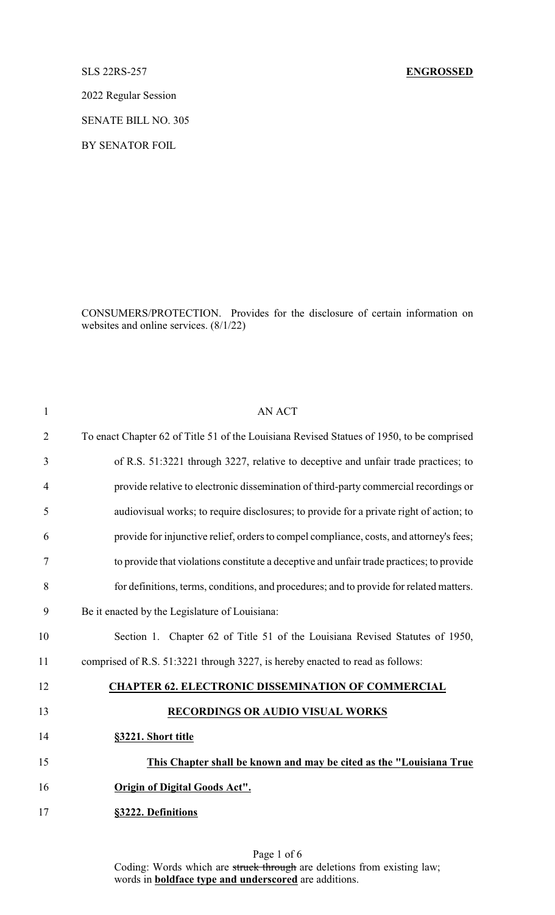## SLS 22RS-257 **ENGROSSED**

2022 Regular Session

SENATE BILL NO. 305

BY SENATOR FOIL

CONSUMERS/PROTECTION. Provides for the disclosure of certain information on websites and online services. (8/1/22)

| $\mathbf{1}$   | <b>AN ACT</b>                                                                             |
|----------------|-------------------------------------------------------------------------------------------|
| $\overline{2}$ | To enact Chapter 62 of Title 51 of the Louisiana Revised Statues of 1950, to be comprised |
| 3              | of R.S. 51:3221 through 3227, relative to deceptive and unfair trade practices; to        |
| $\overline{4}$ | provide relative to electronic dissemination of third-party commercial recordings or      |
| 5              | audiovisual works; to require disclosures; to provide for a private right of action; to   |
| 6              | provide for injunctive relief, orders to compel compliance, costs, and attorney's fees;   |
| $\tau$         | to provide that violations constitute a deceptive and unfair trade practices; to provide  |
| 8              | for definitions, terms, conditions, and procedures; and to provide for related matters.   |
| 9              | Be it enacted by the Legislature of Louisiana:                                            |
| 10             | Section 1. Chapter 62 of Title 51 of the Louisiana Revised Statutes of 1950,              |
| 11             | comprised of R.S. 51:3221 through 3227, is hereby enacted to read as follows:             |
| 12             | <b>CHAPTER 62. ELECTRONIC DISSEMINATION OF COMMERCIAL</b>                                 |
| 13             | RECORDINGS OR AUDIO VISUAL WORKS                                                          |
| 14             | §3221. Short title                                                                        |
| 15             | This Chapter shall be known and may be cited as the "Louisiana True                       |
| 16             | <b>Origin of Digital Goods Act".</b>                                                      |
| 17             | §3222. Definitions                                                                        |
|                |                                                                                           |

Page 1 of 6 Coding: Words which are struck through are deletions from existing law; words in **boldface type and underscored** are additions.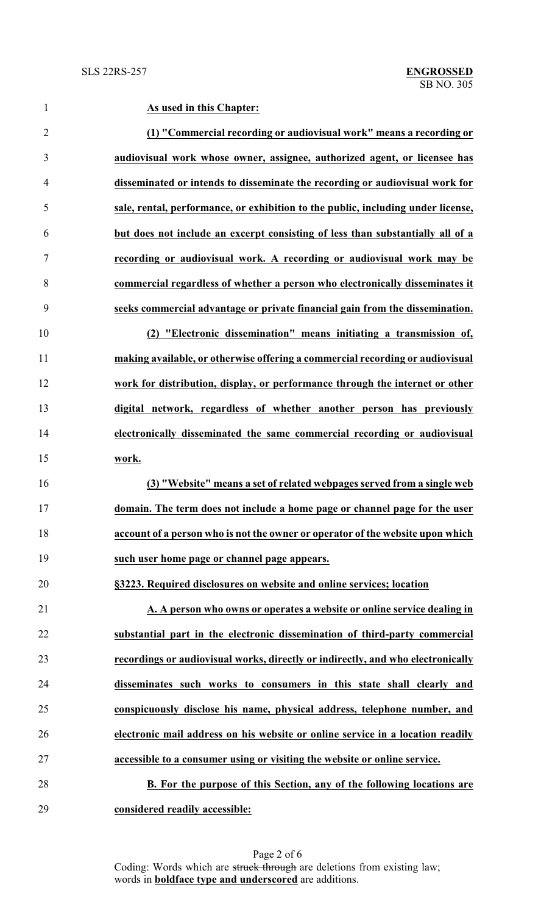**As used in this Chapter: (1) "Commercial recording or audiovisual work" means a recording or audiovisual work whose owner, assignee, authorized agent, or licensee has disseminated or intends to disseminate the recording or audiovisual work for sale, rental, performance, or exhibition to the public, including under license, but does not include an excerpt consisting of less than substantially all of a recording or audiovisual work. A recording or audiovisual work may be commercial regardless of whether a person who electronically disseminates it seeks commercial advantage or private financial gain from the dissemination. (2) "Electronic dissemination" means initiating a transmission of, making available, or otherwise offering a commercial recording or audiovisual work for distribution, display, or performance through the internet or other digital network, regardless of whether another person has previously electronically disseminated the same commercial recording or audiovisual work. (3) "Website" means a set of related webpages served from a single web domain. The term does not include a home page or channel page for the user account of a person who is not the owner or operator of the website upon which such user home page or channel page appears. §3223. Required disclosures on website and online services; location A. A person who owns or operates a website or online service dealing in substantial part in the electronic dissemination of third-party commercial recordings or audiovisual works, directly or indirectly, and who electronically disseminates such works to consumers in this state shall clearly and conspicuously disclose his name, physical address, telephone number, and electronic mail address on his website or online service in a location readily accessible to a consumer using or visiting the website or online service. B. For the purpose of this Section, any of the following locations are**

**considered readily accessible:**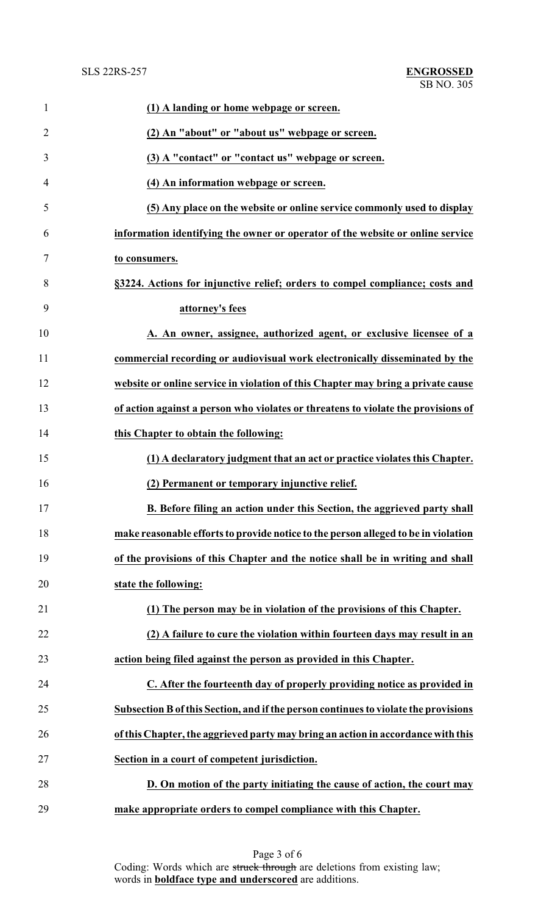| $\mathbf{1}$   | (1) A landing or home webpage or screen.                                            |
|----------------|-------------------------------------------------------------------------------------|
| $\overline{2}$ | (2) An "about" or "about us" webpage or screen.                                     |
| 3              | (3) A "contact" or "contact us" webpage or screen.                                  |
| 4              | (4) An information webpage or screen.                                               |
| 5              | (5) Any place on the website or online service commonly used to display             |
| 6              | information identifying the owner or operator of the website or online service      |
| 7              | to consumers.                                                                       |
| 8              | §3224. Actions for injunctive relief; orders to compel compliance; costs and        |
| 9              | attorney's fees                                                                     |
| 10             | A. An owner, assignee, authorized agent, or exclusive licensee of a                 |
| 11             | commercial recording or audiovisual work electronically disseminated by the         |
| 12             | website or online service in violation of this Chapter may bring a private cause    |
| 13             | of action against a person who violates or threatens to violate the provisions of   |
| 14             | this Chapter to obtain the following:                                               |
| 15             | (1) A declaratory judgment that an act or practice violates this Chapter.           |
| 16             | (2) Permanent or temporary injunctive relief.                                       |
| 17             | B. Before filing an action under this Section, the aggrieved party shall            |
| 18             | make reasonable efforts to provide notice to the person alleged to be in violation  |
| 19             | of the provisions of this Chapter and the notice shall be in writing and shall      |
| 20             | state the following:                                                                |
| 21             | (1) The person may be in violation of the provisions of this Chapter.               |
| 22             | (2) A failure to cure the violation within fourteen days may result in an           |
| 23             | action being filed against the person as provided in this Chapter.                  |
| 24             | C. After the fourteenth day of properly providing notice as provided in             |
| 25             | Subsection B of this Section, and if the person continues to violate the provisions |
| 26             | of this Chapter, the aggrieved party may bring an action in accordance with this    |
| 27             | Section in a court of competent jurisdiction.                                       |
| 28             | D. On motion of the party initiating the cause of action, the court may             |
| 29             | make appropriate orders to compel compliance with this Chapter.                     |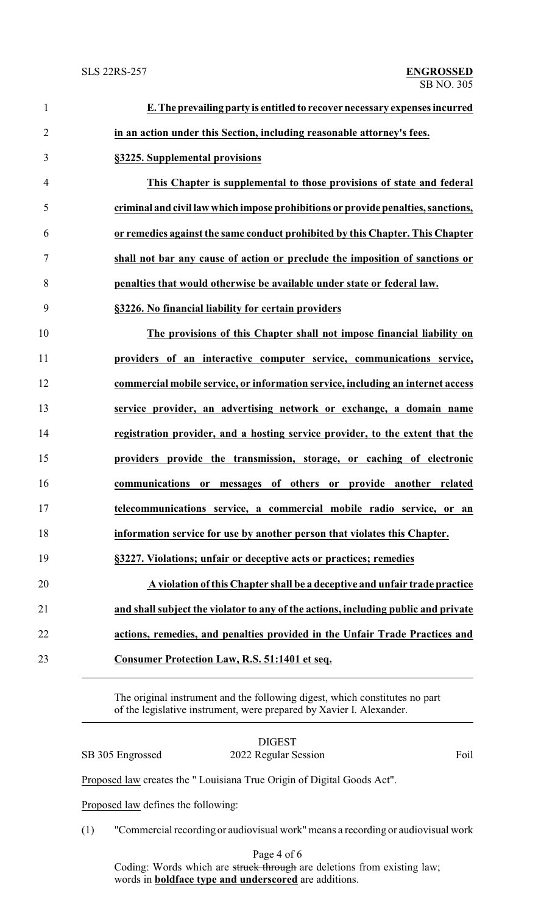| $\mathbf{1}$   | E. The prevailing party is entitled to recover necessary expenses incurred         |
|----------------|------------------------------------------------------------------------------------|
| $\overline{2}$ | in an action under this Section, including reasonable attorney's fees.             |
| 3              | §3225. Supplemental provisions                                                     |
| $\overline{4}$ | This Chapter is supplemental to those provisions of state and federal              |
| 5              | criminal and civil law which impose prohibitions or provide penalties, sanctions,  |
| 6              | or remedies against the same conduct prohibited by this Chapter. This Chapter      |
| 7              | shall not bar any cause of action or preclude the imposition of sanctions or       |
| 8              | penalties that would otherwise be available under state or federal law.            |
| 9              | §3226. No financial liability for certain providers                                |
| 10             | The provisions of this Chapter shall not impose financial liability on             |
| 11             | providers of an interactive computer service, communications service,              |
| 12             | commercial mobile service, or information service, including an internet access    |
| 13             | service provider, an advertising network or exchange, a domain name                |
| 14             | registration provider, and a hosting service provider, to the extent that the      |
| 15             | providers provide the transmission, storage, or caching of electronic              |
| 16             | or messages of others or provide another related<br>communications                 |
| 17             | telecommunications service, a commercial mobile radio service, or an               |
| 18             | information service for use by another person that violates this Chapter.          |
| 19             | §3227. Violations; unfair or deceptive acts or practices; remedies                 |
| 20             | A violation of this Chapter shall be a deceptive and unfair trade practice         |
| 21             | and shall subject the violator to any of the actions, including public and private |
| 22             | actions, remedies, and penalties provided in the Unfair Trade Practices and        |
| 23             | Consumer Protection Law, R.S. 51:1401 et seq.                                      |
|                |                                                                                    |

The original instrument and the following digest, which constitutes no part of the legislative instrument, were prepared by Xavier I. Alexander.

|                                     | SB 305 Engrossed                                                       | 2022 Regular Session                                                             | Foil |  |  |  |
|-------------------------------------|------------------------------------------------------------------------|----------------------------------------------------------------------------------|------|--|--|--|
|                                     | Proposed law creates the "Louisiana True Origin of Digital Goods Act". |                                                                                  |      |  |  |  |
| Proposed law defines the following: |                                                                        |                                                                                  |      |  |  |  |
|                                     | (1)                                                                    | "Commercial recording or audiovisual work" means a recording or audiovisual work |      |  |  |  |
|                                     |                                                                        | $D_{0}$ and $A$ of 6                                                             |      |  |  |  |

Page 4 of 6 Coding: Words which are struck through are deletions from existing law; words in **boldface type and underscored** are additions.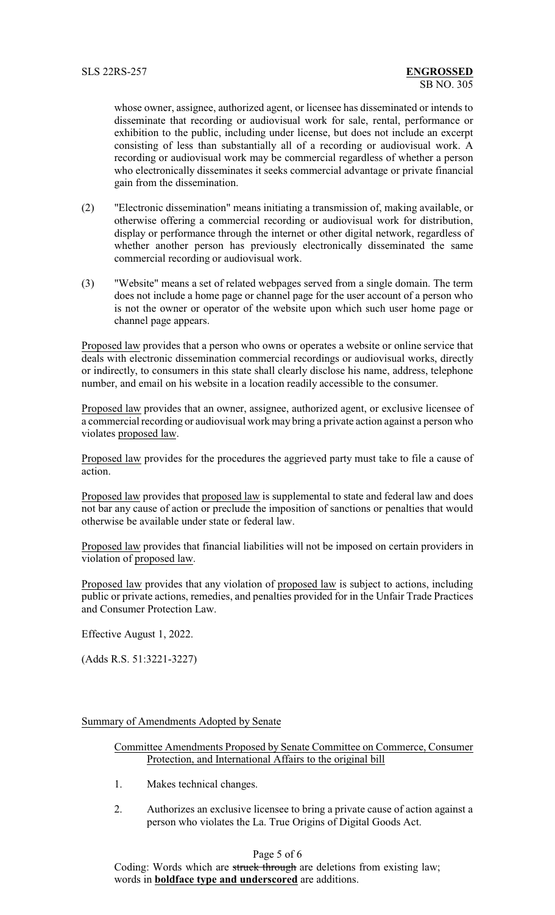whose owner, assignee, authorized agent, or licensee has disseminated or intends to disseminate that recording or audiovisual work for sale, rental, performance or exhibition to the public, including under license, but does not include an excerpt consisting of less than substantially all of a recording or audiovisual work. A recording or audiovisual work may be commercial regardless of whether a person who electronically disseminates it seeks commercial advantage or private financial gain from the dissemination.

- (2) "Electronic dissemination" means initiating a transmission of, making available, or otherwise offering a commercial recording or audiovisual work for distribution, display or performance through the internet or other digital network, regardless of whether another person has previously electronically disseminated the same commercial recording or audiovisual work.
- (3) "Website" means a set of related webpages served from a single domain. The term does not include a home page or channel page for the user account of a person who is not the owner or operator of the website upon which such user home page or channel page appears.

Proposed law provides that a person who owns or operates a website or online service that deals with electronic dissemination commercial recordings or audiovisual works, directly or indirectly, to consumers in this state shall clearly disclose his name, address, telephone number, and email on his website in a location readily accessible to the consumer.

Proposed law provides that an owner, assignee, authorized agent, or exclusive licensee of a commercial recording or audiovisual work may bring a private action against a person who violates proposed law.

Proposed law provides for the procedures the aggrieved party must take to file a cause of action.

Proposed law provides that proposed law is supplemental to state and federal law and does not bar any cause of action or preclude the imposition of sanctions or penalties that would otherwise be available under state or federal law.

Proposed law provides that financial liabilities will not be imposed on certain providers in violation of proposed law.

Proposed law provides that any violation of proposed law is subject to actions, including public or private actions, remedies, and penalties provided for in the Unfair Trade Practices and Consumer Protection Law.

Effective August 1, 2022.

(Adds R.S. 51:3221-3227)

## Summary of Amendments Adopted by Senate

Committee Amendments Proposed by Senate Committee on Commerce, Consumer Protection, and International Affairs to the original bill

- 1. Makes technical changes.
- 2. Authorizes an exclusive licensee to bring a private cause of action against a person who violates the La. True Origins of Digital Goods Act.

## Page 5 of 6

Coding: Words which are struck through are deletions from existing law; words in **boldface type and underscored** are additions.